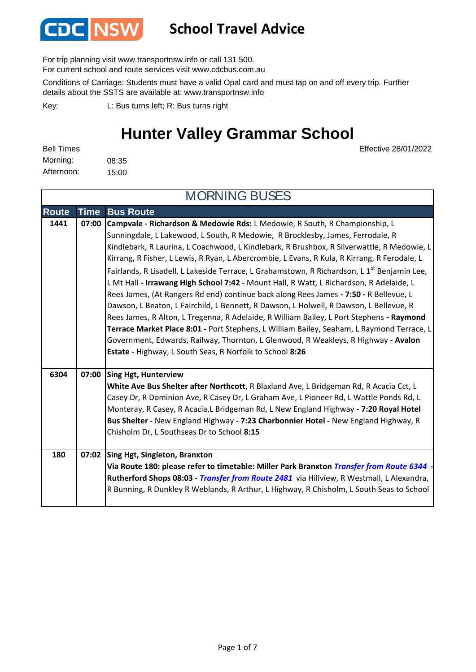

For trip planning visit www.transportnsw.info or call 131 500.

For current school and route services visit www.cdcbus.com.au

Conditions of Carriage: Students must have a valid Opal card and must tap on and off every trip. Further details about the SSTS are available at: www.transportnsw.info

L: Bus turns left; R: Bus turns right Key:

### **Hunter Valley Grammar School**

Effective 28/01/2022

| <b>Bell Times</b> |       |
|-------------------|-------|
| Morning:          | 08:35 |
| Afternoon:        | 15:00 |

**Route Time Bus Route 1441 07:00 Campvale - Richardson & Medowie Rds:** L Medowie, R South, R Championship, L Sunningdale, L Lakewood, L South, R Medowie, R Brocklesby, James, Ferrodale, R Kindlebark, R Laurina, L Coachwood, L Kindlebark, R Brushbox, R Silverwattle, R Medowie, L Kirrang, R Fisher, L Lewis, R Ryan, L Abercrombie, L Evans, R Kula, R Kirrang, R Ferodale, L Fairlands, R Lisadell, L Lakeside Terrace, L Grahamstown, R Richardson, L 1<sup>st</sup> Benjamin Lee, L Mt Hall **- Irrawang High School 7:42 -** Mount Hall, R Watt, L Richardson, R Adelaide, L Rees James, (At Rangers Rd end) continue back along Rees James **- 7:50 -** R Bellevue, L Dawson, L Beaton, L Fairchild, L Bennett, R Dawson, L Holwell, R Dawson, L Bellevue, R Rees James, R Alton, L Tregenna, R Adelaide, R William Bailey, L Port Stephens **- Raymond Terrace Market Place 8:01 -** Port Stephens, L William Bailey, Seaham, L Raymond Terrace, L Government, Edwards, Railway, Thornton, L Glenwood, R Weakleys, R Highway **- Avalon Estate -** Highway, L South Seas, R Norfolk to School **8:26 Sing Hgt, Hunterview White Ave Bus Shelter after Northcott**, R Blaxland Ave, L Bridgeman Rd, R Acacia Cct, L Casey Dr, R Dominion Ave, R Casey Dr, L Graham Ave, L Pioneer Rd, L Wattle Ponds Rd, L Monteray, R Casey, R Acacia,L Bridgeman Rd, L New England Highway **- 7:20 Royal Hotel Bus Shelter -** New England Highway **- 7:23 Charbonnier Hotel -** New England Highway, R Chisholm Dr, L Southseas Dr to School **8:15 Sing Hgt, Singleton, Branxton Via Route 180: please refer to timetable: Miller Park Branxton** *Transfer from Route 6344* **- Rutherford Shops 08:03 -** *Transfer from Route 2481* via Hillview, R Westmall, L Alexandra, R Bunning, R Dunkley R Weblands, R Arthur, L Highway, R Chisholm, L South Seas to School MORNING BUSES **180 07:02 6304 07:00**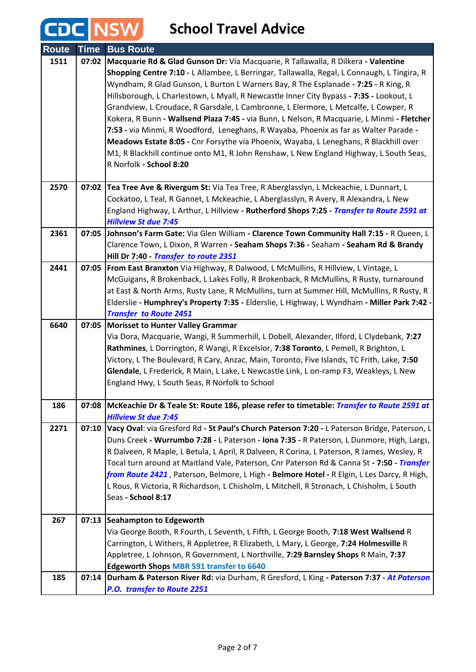#### **School Travel Advice Route Time Bus Route 1511 07:02 Macquarie Rd & Glad Gunson Dr:** Via Macquarie, R Tallawalla, R Dilkera **- Valentine Shopping Centre 7:10 -** L Allambee, L Berringar, Tallawalla, Regal, L Connaugh, L Tingira, R Wyndham, R Glad Gunson, L Burton L Warners Bay, R The Esplanade **- 7:25 -** R King, R Hillsborough, L Charlestown, L Myall, R Newcastle Inner City Bypass **- 7:35 -** Lookout, L Grandview, L Croudace, R Garsdale, L Cambronne, L Elermore, L Metcalfe, L Cowper, R Kokera, R Bunn **- Wallsend Plaza 7:45 -** via Bunn, L Nelson, R Macquarie, L Minmi **- Fletcher 7:53 -** via Minmi, R Woodford, Leneghans, R Wayaba, Phoenix as far as Walter Parade **- Meadows Estate 8:05 -** Cnr Forsythe via Phoenix, Wayaba, L Leneghans, R Blackhill over M1, R Blackhill continue onto M1, R John Renshaw, L New England Highway, L South Seas, R Norfolk **- School 8:20 2570 07:02 Tea Tree Ave & Rivergum St:** Via Tea Tree, R Aberglasslyn, L Mckeachie, L Dunnart, L Cockatoo, L Teal, R Gannet, L Mckeachie, L Aberglasslyn, R Avery, R Alexandra, L New England Highway, L Arthur, L Hillview **- Rutherford Shops 7:25 -** *Transfer to Route 2591 at Hillview St due 7:45* **2361 07:05 Johnson's Farm Gate:** Via Glen William **- Clarence Town Community Hall 7:15 -** R Queen, L Clarence Town, L Dixon, R Warren **- Seaham Shops 7:36 -** Seaham **- Seaham Rd & Brandy Hill Dr 7:40 -** *Transfer to route 2351*  **2441 07:05 From East Branxton** Via Highway, R Dalwood, L McMullins, R Hillview, L Vintage, L McGuigans, R Brokenback, L Lakes Folly, R Brokenback, R McMullins, R Rusty, turnaround at East & North Arms, Rusty Lane, R McMullins, turn at Summer Hill, McMullins, R Rusty, R Elderslie **- Humphrey's Property 7:35 -** Elderslie, L Highway, L Wyndham **- Miller Park 7:42 -**  *Transfer to Route 2451* **Morisset to Hunter Valley Grammar 6640 07:05** Via Dora, Macquarie, Wangi, R Summerhill, L Dobell, Alexander, Ilford, L Clydebank, **7:27 Rathmines**, L Dorrington, R Wangi, R Excelsior, **7:38 Toronto**, L Pemell, R Brighton, L Victory, L The Boulevard, R Cary, Anzac, Main, Toronto, Five Islands, TC Frith, Lake, **7:50 Glendale**, L Frederick, R Main, L Lake, L Newcastle Link, L on-ramp F3, Weakleys, L New England Hwy, L South Seas, R Norfolk to School **186 07:08 McKeachie Dr & Teale St: Route 186, please refer to timetable:** *Transfer to Route 2591 at Hillview St due 7:45* **2271 07:10 Vacy Oval**: via Gresford Rd **- St Paul's Church Paterson 7:20 -** L Paterson Bridge, Paterson, L Duns Creek **- Wurrumbo 7:28 -** L Paterson **- Iona 7:35 -** R Paterson, L Dunmore, High, Largs, R Dalveen, R Maple, L Betula, L April, R Dalveen, R Corina, L Paterson, R James, Wesley, R Tocal turn around at Maitland Vale, Paterson, Cnr Paterson Rd & Canna St **- 7:50 -** *Transfer from Route 2421* , Paterson, Belmore, L High **- Belmore Hotel -** R Elgin, L Les Darcy, R High, L Rous, R Victoria, R Richardson, L Chisholm, L Mitchell, R Stronach, L Chisholm, L South Seas **- School 8:17 Seahampton to Edgeworth 267 07:13** Via George Booth, R Fourth, L Seventh, L Fifth, L George Booth, **7:18 West Wallsend** R Carrington, L Withers, R Appletree, R Elizabeth, L Mary, L George, **7:24 Holmesville** R Appletree, L Johnson, R Government, L Northville, **7:29 Barnsley Shops** R Main, **7:37 Edgeworth Shops MBR 591 transfer to 6640 185 07:14 Durham & Paterson River Rd:** via Durham, R Gresford, L King **- Paterson 7:37 -** *At Paterson P.O. transfer to Route 2251*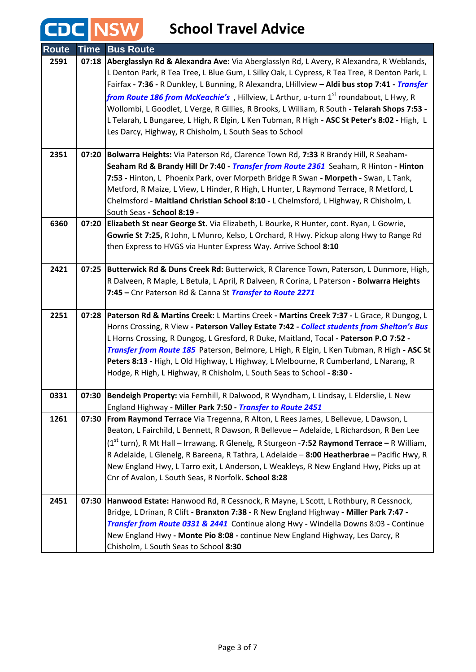**CDC NSW** 

| <b>Route</b> | Time  | <b>Bus Route</b>                                                                                                                                                                                   |
|--------------|-------|----------------------------------------------------------------------------------------------------------------------------------------------------------------------------------------------------|
| 2591         | 07:18 | Aberglasslyn Rd & Alexandra Ave: Via Aberglasslyn Rd, L Avery, R Alexandra, R Weblands,                                                                                                            |
|              |       | L Denton Park, R Tea Tree, L Blue Gum, L Silky Oak, L Cypress, R Tea Tree, R Denton Park, L                                                                                                        |
|              |       | Fairfax - 7:36 - R Dunkley, L Bunning, R Alexandra, LHillview - Aldi bus stop 7:41 - Transfer<br>from Route 186 from McKeachie's , Hillview, L Arthur, u-turn 1 <sup>st</sup> roundabout, L Hwy, R |
|              |       | Wollombi, L Goodlet, L Verge, R Gillies, R Brooks, L William, R South - Telarah Shops 7:53 -                                                                                                       |
|              |       | L Telarah, L Bungaree, L High, R Elgin, L Ken Tubman, R High - ASC St Peter's 8:02 - High, L                                                                                                       |
|              |       | Les Darcy, Highway, R Chisholm, L South Seas to School                                                                                                                                             |
|              |       |                                                                                                                                                                                                    |
| 2351         | 07:20 | Bolwarra Heights: Via Paterson Rd, Clarence Town Rd, 7:33 R Brandy Hill, R Seaham-                                                                                                                 |
|              |       | Seaham Rd & Brandy Hill Dr 7:40 - Transfer from Route 2361 Seaham, R Hinton - Hinton                                                                                                               |
|              |       | 7:53 - Hinton, L Phoenix Park, over Morpeth Bridge R Swan - Morpeth - Swan, L Tank,<br>Metford, R Maize, L View, L Hinder, R High, L Hunter, L Raymond Terrace, R Metford, L                       |
|              |       | Chelmsford - Maitland Christian School 8:10 - L Chelmsford, L Highway, R Chisholm, L                                                                                                               |
|              |       | South Seas - School 8:19 -                                                                                                                                                                         |
| 6360         | 07:20 | Elizabeth St near George St. Via Elizabeth, L Bourke, R Hunter, cont. Ryan, L Gowrie,                                                                                                              |
|              |       | Gowrie St 7:25, R John, L Munro, Kelso, L Orchard, R Hwy. Pickup along Hwy to Range Rd                                                                                                             |
|              |       | then Express to HVGS via Hunter Express Way. Arrive School 8:10                                                                                                                                    |
| 2421         | 07:25 | Butterwick Rd & Duns Creek Rd: Butterwick, R Clarence Town, Paterson, L Dunmore, High,                                                                                                             |
|              |       | R Dalveen, R Maple, L Betula, L April, R Dalveen, R Corina, L Paterson - Bolwarra Heights                                                                                                          |
|              |       | 7:45 - Cnr Paterson Rd & Canna St Transfer to Route 2271                                                                                                                                           |
| 2251         | 07:28 | Paterson Rd & Martins Creek: L Martins Creek - Martins Creek 7:37 - L Grace, R Dungog, L                                                                                                           |
|              |       | Horns Crossing, R View - Paterson Valley Estate 7:42 - Collect students from Shelton's Bus                                                                                                         |
|              |       | L Horns Crossing, R Dungog, L Gresford, R Duke, Maitland, Tocal - Paterson P.O 7:52 -                                                                                                              |
|              |       | Transfer from Route 185 Paterson, Belmore, L High, R Elgin, L Ken Tubman, R High - ASC St<br>Peters 8:13 - High, L Old Highway, L Highway, L Melbourne, R Cumberland, L Narang, R                  |
|              |       | Hodge, R High, L Highway, R Chisholm, L South Seas to School - 8:30 -                                                                                                                              |
|              |       |                                                                                                                                                                                                    |
| 0331         | 07:30 | Bendeigh Property: via Fernhill, R Dalwood, R Wyndham, L Lindsay, L Elderslie, L New                                                                                                               |
|              |       | England Highway - Miller Park 7:50 - Transfer to Route 2451                                                                                                                                        |
| 1261         | 07:30 | From Raymond Terrace Via Tregenna, R Alton, L Rees James, L Bellevue, L Dawson, L<br>Beaton, L Fairchild, L Bennett, R Dawson, R Bellevue - Adelaide, L Richardson, R Ben Lee                      |
|              |       | (1 <sup>st</sup> turn), R Mt Hall – Irrawang, R Glenelg, R Sturgeon -7:52 Raymond Terrace – R William,                                                                                             |
|              |       | R Adelaide, L Glenelg, R Bareena, R Tathra, L Adelaide - 8:00 Heatherbrae - Pacific Hwy, R                                                                                                         |
|              |       | New England Hwy, L Tarro exit, L Anderson, L Weakleys, R New England Hwy, Picks up at                                                                                                              |
|              |       | Cnr of Avalon, L South Seas, R Norfolk. School 8:28                                                                                                                                                |
| 2451         | 07:30 | Hanwood Estate: Hanwood Rd, R Cessnock, R Mayne, L Scott, L Rothbury, R Cessnock,                                                                                                                  |
|              |       | Bridge, L Drinan, R Clift - Branxton 7:38 - R New England Highway - Miller Park 7:47 -                                                                                                             |
|              |       | Transfer from Route 0331 & 2441 Continue along Hwy - Windella Downs 8:03 - Continue                                                                                                                |
|              |       | New England Hwy - Monte Pio 8:08 - continue New England Highway, Les Darcy, R                                                                                                                      |
|              |       | Chisholm, L South Seas to School 8:30                                                                                                                                                              |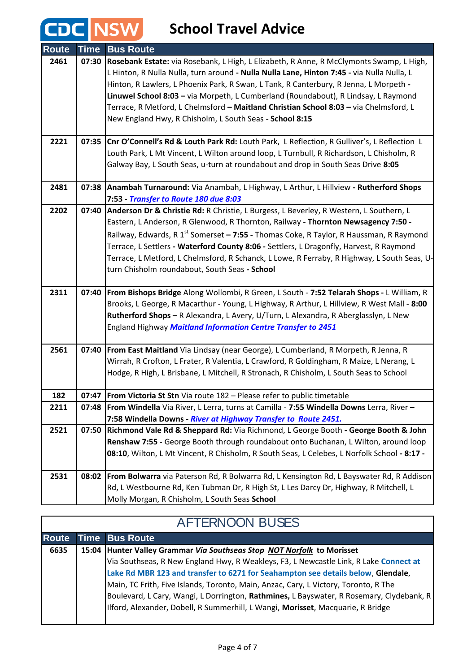CDC NSW

| <b>Route</b> | <b>Time</b> | <b>Bus Route</b>                                                                                   |
|--------------|-------------|----------------------------------------------------------------------------------------------------|
| 2461         | 07:30       | Rosebank Estate: via Rosebank, L High, L Elizabeth, R Anne, R McClymonts Swamp, L High,            |
|              |             | L Hinton, R Nulla Nulla, turn around - Nulla Nulla Lane, Hinton 7:45 - via Nulla Nulla, L          |
|              |             | Hinton, R Lawlers, L Phoenix Park, R Swan, L Tank, R Canterbury, R Jenna, L Morpeth -              |
|              |             | Linuwel School 8:03 - via Morpeth, L Cumberland (Roundabout), R Lindsay, L Raymond                 |
|              |             | Terrace, R Metford, L Chelmsford - Maitland Christian School 8:03 - via Chelmsford, L              |
|              |             | New England Hwy, R Chisholm, L South Seas - School 8:15                                            |
| 2221         | 07:35       | Cnr O'Connell's Rd & Louth Park Rd: Louth Park, L Reflection, R Gulliver's, L Reflection L         |
|              |             | Louth Park, L Mt Vincent, L Wilton around loop, L Turnbull, R Richardson, L Chisholm, R            |
|              |             | Galway Bay, L South Seas, u-turn at roundabout and drop in South Seas Drive 8:05                   |
| 2481         |             | 07:38 Anambah Turnaround: Via Anambah, L Highway, L Arthur, L Hillview - Rutherford Shops          |
|              |             | 7:53 - Transfer to Route 180 due 8:03                                                              |
| 2202         | 07:40       | Anderson Dr & Christie Rd: R Christie, L Burgess, L Beverley, R Western, L Southern, L             |
|              |             | Eastern, L Anderson, R Glenwood, R Thornton, Railway - Thornton Newsagency 7:50 -                  |
|              |             | Railway, Edwards, R 1 <sup>st</sup> Somerset - 7:55 - Thomas Coke, R Taylor, R Haussman, R Raymond |
|              |             | Terrace, L Settlers - Waterford County 8:06 - Settlers, L Dragonfly, Harvest, R Raymond            |
|              |             | Terrace, L Metford, L Chelmsford, R Schanck, L Lowe, R Ferraby, R Highway, L South Seas, U-        |
|              |             | turn Chisholm roundabout, South Seas - School                                                      |
| 2311         |             | 07:40   From Bishops Bridge Along Wollombi, R Green, L South - 7:52 Telarah Shops - L William, R   |
|              |             | Brooks, L George, R Macarthur - Young, L Highway, R Arthur, L Hillview, R West Mall - 8:00         |
|              |             | Rutherford Shops - R Alexandra, L Avery, U/Turn, L Alexandra, R Aberglasslyn, L New                |
|              |             | England Highway Maitland Information Centre Transfer to 2451                                       |
| 2561         |             | 07:40   From East Maitland Via Lindsay (near George), L Cumberland, R Morpeth, R Jenna, R          |
|              |             | Wirrah, R Crofton, L Frater, R Valentia, L Crawford, R Goldingham, R Maize, L Nerang, L            |
|              |             | Hodge, R High, L Brisbane, L Mitchell, R Stronach, R Chisholm, L South Seas to School              |
|              |             |                                                                                                    |
| 182          |             | 07:47   From Victoria St Stn Via route 182 - Please refer to public timetable                      |
| 2211         |             | 07:48 From Windella Via River, L Lerra, turns at Camilla - 7:55 Windella Downs Lerra, River -      |
|              |             | 7:58 Windella Downs - River at Highway Transfer to Route 2451.                                     |
| 2521         | 07:50       | Richmond Vale Rd & Sheppard Rd: Via Richmond, L George Booth - George Booth & John                 |
|              |             | Renshaw 7:55 - George Booth through roundabout onto Buchanan, L Wilton, around loop                |
|              |             | 08:10, Wilton, L Mt Vincent, R Chisholm, R South Seas, L Celebes, L Norfolk School - 8:17 -        |
| 2531         | 08:02       | From Bolwarra via Paterson Rd, R Bolwarra Rd, L Kensington Rd, L Bayswater Rd, R Addison           |
|              |             | Rd, L Westbourne Rd, Ken Tubman Dr, R High St, L Les Darcy Dr, Highway, R Mitchell, L              |
|              |             | Molly Morgan, R Chisholm, L South Seas School                                                      |

| <b>AFTERNOON BUSES</b> |  |                                                                                          |
|------------------------|--|------------------------------------------------------------------------------------------|
| <b>Route</b>           |  | <b>Time Bus Route</b>                                                                    |
| 6635                   |  | 15:04 Hunter Valley Grammar Via Southseas Stop NOT Norfolk to Morisset                   |
|                        |  | Via Southseas, R New England Hwy, R Weakleys, F3, L Newcastle Link, R Lake Connect at    |
|                        |  | Lake Rd MBR 123 and transfer to 6271 for Seahampton see details below, Glendale,         |
|                        |  | Main, TC Frith, Five Islands, Toronto, Main, Anzac, Cary, L Victory, Toronto, R The      |
|                        |  | Boulevard, L Cary, Wangi, L Dorrington, Rathmines, L Bayswater, R Rosemary, Clydebank, R |
|                        |  | Ilford, Alexander, Dobell, R Summerhill, L Wangi, Morisset, Macquarie, R Bridge          |
|                        |  |                                                                                          |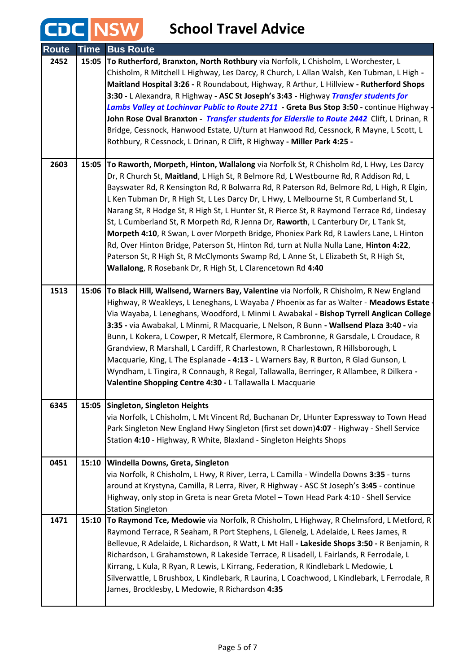CDC NSW

| <b>Route</b> | <b>Time</b> | <b>Bus Route</b>                                                                                                                                                                                                                                                                                                                                                                                                                                                                                                                                                                                                                                                                                                                                                                                                                                                                                     |
|--------------|-------------|------------------------------------------------------------------------------------------------------------------------------------------------------------------------------------------------------------------------------------------------------------------------------------------------------------------------------------------------------------------------------------------------------------------------------------------------------------------------------------------------------------------------------------------------------------------------------------------------------------------------------------------------------------------------------------------------------------------------------------------------------------------------------------------------------------------------------------------------------------------------------------------------------|
| 2452         | 15:05       | To Rutherford, Branxton, North Rothbury via Norfolk, L Chisholm, L Worchester, L<br>Chisholm, R Mitchell L Highway, Les Darcy, R Church, L Allan Walsh, Ken Tubman, L High -<br>Maitland Hospital 3:26 - R Roundabout, Highway, R Arthur, L Hillview - Rutherford Shops<br>3:30 - L Alexandra, R Highway - ASC St Joseph's 3:43 - Highway Transfer students for<br>Lambs Valley at Lochinvar Public to Route 2711 - Greta Bus Stop 3:50 - continue Highway -<br>John Rose Oval Branxton - Transfer students for Elderslie to Route 2442 Clift, L Drinan, R<br>Bridge, Cessnock, Hanwood Estate, U/turn at Hanwood Rd, Cessnock, R Mayne, L Scott, L<br>Rothbury, R Cessnock, L Drinan, R Clift, R Highway - Miller Park 4:25 -                                                                                                                                                                       |
| 2603         | 15:05       | To Raworth, Morpeth, Hinton, Wallalong via Norfolk St, R Chisholm Rd, L Hwy, Les Darcy<br>Dr, R Church St, Maitland, L High St, R Belmore Rd, L Westbourne Rd, R Addison Rd, L<br>Bayswater Rd, R Kensington Rd, R Bolwarra Rd, R Paterson Rd, Belmore Rd, L High, R Elgin,<br>L Ken Tubman Dr, R High St, L Les Darcy Dr, L Hwy, L Melbourne St, R Cumberland St, L<br>Narang St, R Hodge St, R High St, L Hunter St, R Pierce St, R Raymond Terrace Rd, Lindesay<br>St, L Cumberland St, R Morpeth Rd, R Jenna Dr, Raworth, L Canterbury Dr, L Tank St,<br>Morpeth 4:10, R Swan, L over Morpeth Bridge, Phoniex Park Rd, R Lawlers Lane, L Hinton<br>Rd, Over Hinton Bridge, Paterson St, Hinton Rd, turn at Nulla Nulla Lane, Hinton 4:22,<br>Paterson St, R High St, R McClymonts Swamp Rd, L Anne St, L Elizabeth St, R High St,<br>Wallalong, R Rosebank Dr, R High St, L Clarencetown Rd 4:40 |
| 1513         | 15:06       | To Black Hill, Wallsend, Warners Bay, Valentine via Norfolk, R Chisholm, R New England<br>Highway, R Weakleys, L Leneghans, L Wayaba / Phoenix as far as Walter - Meadows Estate<br>Via Wayaba, L Leneghans, Woodford, L Minmi L Awabakal - Bishop Tyrrell Anglican College<br>3:35 - via Awabakal, L Minmi, R Macquarie, L Nelson, R Bunn - Wallsend Plaza 3:40 - via<br>Bunn, L Kokera, L Cowper, R Metcalf, Elermore, R Cambronne, R Garsdale, L Croudace, R<br>Grandview, R Marshall, L Cardiff, R Charlestown, R Charlestown, R Hillsborough, L<br>Macquarie, King, L The Esplanade - 4:13 - L Warners Bay, R Burton, R Glad Gunson, L<br>Wyndham, L Tingira, R Connaugh, R Regal, Tallawalla, Berringer, R Allambee, R Dilkera -<br>Valentine Shopping Centre 4:30 - L Tallawalla L Macquarie                                                                                                  |
| 6345         |             | 15:05 Singleton, Singleton Heights<br>via Norfolk, L Chisholm, L Mt Vincent Rd, Buchanan Dr, LHunter Expressway to Town Head<br>Park Singleton New England Hwy Singleton (first set down)4:07 - Highway - Shell Service<br>Station 4:10 - Highway, R White, Blaxland - Singleton Heights Shops                                                                                                                                                                                                                                                                                                                                                                                                                                                                                                                                                                                                       |
| 0451         | 15:10       | <b>Windella Downs, Greta, Singleton</b><br>via Norfolk, R Chisholm, L Hwy, R River, Lerra, L Camilla - Windella Downs 3:35 - turns<br>around at Krystyna, Camilla, R Lerra, River, R Highway - ASC St Joseph's 3:45 - continue<br>Highway, only stop in Greta is near Greta Motel - Town Head Park 4:10 - Shell Service<br><b>Station Singleton</b>                                                                                                                                                                                                                                                                                                                                                                                                                                                                                                                                                  |
| 1471         | 15:10       | To Raymond Tce, Medowie via Norfolk, R Chisholm, L Highway, R Chelmsford, L Metford, R<br>Raymond Terrace, R Seaham, R Port Stephens, L Glenelg, L Adelaide, L Rees James, R<br>Bellevue, R Adelaide, L Richardson, R Watt, L Mt Hall - Lakeside Shops 3:50 - R Benjamin, R<br>Richardson, L Grahamstown, R Lakeside Terrace, R Lisadell, L Fairlands, R Ferrodale, L<br>Kirrang, L Kula, R Ryan, R Lewis, L Kirrang, Federation, R Kindlebark L Medowie, L<br>Silverwattle, L Brushbox, L Kindlebark, R Laurina, L Coachwood, L Kindlebark, L Ferrodale, R<br>James, Brocklesby, L Medowie, R Richardson 4:35                                                                                                                                                                                                                                                                                       |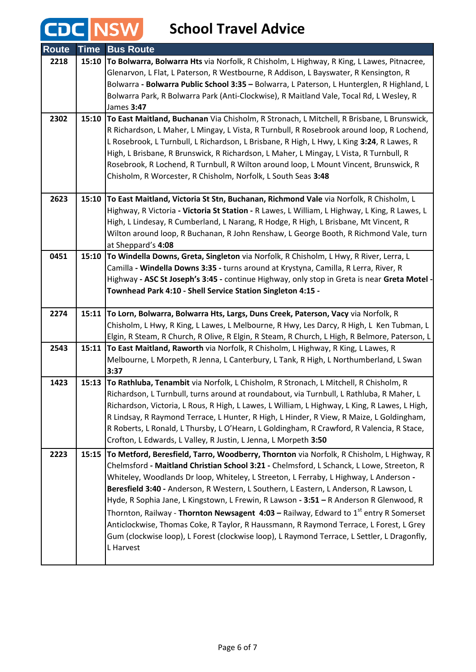## **CDC** NSW School Travel Advice

| <b>Route</b> | <b>Time</b> | <b>Bus Route</b>                                                                                                                                                                        |
|--------------|-------------|-----------------------------------------------------------------------------------------------------------------------------------------------------------------------------------------|
| 2218         | 15:10       | To Bolwarra, Bolwarra Hts via Norfolk, R Chisholm, L Highway, R King, L Lawes, Pitnacree,                                                                                               |
|              |             | Glenarvon, L Flat, L Paterson, R Westbourne, R Addison, L Bayswater, R Kensington, R                                                                                                    |
|              |             | Bolwarra - Bolwarra Public School 3:35 - Bolwarra, L Paterson, L Hunterglen, R Highland, L                                                                                              |
|              |             | Bolwarra Park, R Bolwarra Park (Anti-Clockwise), R Maitland Vale, Tocal Rd, L Wesley, R                                                                                                 |
|              |             | James 3:47                                                                                                                                                                              |
| 2302         |             | 15:10 To East Maitland, Buchanan Via Chisholm, R Stronach, L Mitchell, R Brisbane, L Brunswick,                                                                                         |
|              |             | R Richardson, L Maher, L Mingay, L Vista, R Turnbull, R Rosebrook around loop, R Lochend,                                                                                               |
|              |             | L Rosebrook, L Turnbull, L Richardson, L Brisbane, R High, L Hwy, L King 3:24, R Lawes, R                                                                                               |
|              |             | High, L Brisbane, R Brunswick, R Richardson, L Maher, L Mingay, L Vista, R Turnbull, R                                                                                                  |
|              |             | Rosebrook, R Lochend, R Turnbull, R Wilton around loop, L Mount Vincent, Brunswick, R                                                                                                   |
|              |             | Chisholm, R Worcester, R Chisholm, Norfolk, L South Seas 3:48                                                                                                                           |
| 2623         | 15:10       | To East Maitland, Victoria St Stn, Buchanan, Richmond Vale via Norfolk, R Chisholm, L                                                                                                   |
|              |             | Highway, R Victoria - Victoria St Station - R Lawes, L William, L Highway, L King, R Lawes, L                                                                                           |
|              |             | High, L Lindesay, R Cumberland, L Narang, R Hodge, R High, L Brisbane, Mt Vincent, R                                                                                                    |
|              |             | Wilton around loop, R Buchanan, R John Renshaw, L George Booth, R Richmond Vale, turn                                                                                                   |
|              |             | at Sheppard's 4:08                                                                                                                                                                      |
| 0451         | 15:10       | To Windella Downs, Greta, Singleton via Norfolk, R Chisholm, L Hwy, R River, Lerra, L                                                                                                   |
|              |             | Camilla - Windella Downs 3:35 - turns around at Krystyna, Camilla, R Lerra, River, R                                                                                                    |
|              |             | Highway - ASC St Joseph's 3:45 - continue Highway, only stop in Greta is near Greta Motel -                                                                                             |
|              |             | Townhead Park 4:10 - Shell Service Station Singleton 4:15 -                                                                                                                             |
|              |             |                                                                                                                                                                                         |
| 2274         | 15:11       | To Lorn, Bolwarra, Bolwarra Hts, Largs, Duns Creek, Paterson, Vacy via Norfolk, R                                                                                                       |
|              |             | Chisholm, L Hwy, R King, L Lawes, L Melbourne, R Hwy, Les Darcy, R High, L Ken Tubman, L                                                                                                |
| 2543         |             | Elgin, R Steam, R Church, R Olive, R Elgin, R Steam, R Church, L High, R Belmore, Paterson, L<br>15:11 To East Maitland, Raworth via Norfolk, R Chisholm, L Highway, R King, L Lawes, R |
|              |             | Melbourne, L Morpeth, R Jenna, L Canterbury, L Tank, R High, L Northumberland, L Swan                                                                                                   |
|              |             | 3:37                                                                                                                                                                                    |
| 1423         | 15:13       | To Rathluba, Tenambit via Norfolk, L Chisholm, R Stronach, L Mitchell, R Chisholm, R                                                                                                    |
|              |             | Richardson, L Turnbull, turns around at roundabout, via Turnbull, L Rathluba, R Maher, L                                                                                                |
|              |             | Richardson, Victoria, L Rous, R High, L Lawes, L William, L Highway, L King, R Lawes, L High,                                                                                           |
|              |             | R Lindsay, R Raymond Terrace, L Hunter, R High, L Hinder, R View, R Maize, L Goldingham,                                                                                                |
|              |             | R Roberts, L Ronald, L Thursby, L O'Hearn, L Goldingham, R Crawford, R Valencia, R Stace,                                                                                               |
|              |             | Crofton, L Edwards, L Valley, R Justin, L Jenna, L Morpeth 3:50                                                                                                                         |
| 2223         | 15:15       | To Metford, Beresfield, Tarro, Woodberry, Thornton via Norfolk, R Chisholm, L Highway, R                                                                                                |
|              |             | Chelmsford - Maitland Christian School 3:21 - Chelmsford, L Schanck, L Lowe, Streeton, R                                                                                                |
|              |             | Whiteley, Woodlands Dr loop, Whiteley, L Streeton, L Ferraby, L Highway, L Anderson -                                                                                                   |
|              |             | Beresfield 3:40 - Anderson, R Western, L Southern, L Eastern, L Anderson, R Lawson, L                                                                                                   |
|              |             | Hyde, R Sophia Jane, L Kingstown, L Frewin, R Lawson - 3:51 - R Anderson R Glenwood, R                                                                                                  |
|              |             | Thornton, Railway - Thornton Newsagent 4:03 - Railway, Edward to 1 <sup>st</sup> entry R Somerset                                                                                       |
|              |             | Anticlockwise, Thomas Coke, R Taylor, R Haussmann, R Raymond Terrace, L Forest, L Grey                                                                                                  |
|              |             | Gum (clockwise loop), L Forest (clockwise loop), L Raymond Terrace, L Settler, L Dragonfly,                                                                                             |
|              |             | L Harvest                                                                                                                                                                               |
|              |             |                                                                                                                                                                                         |